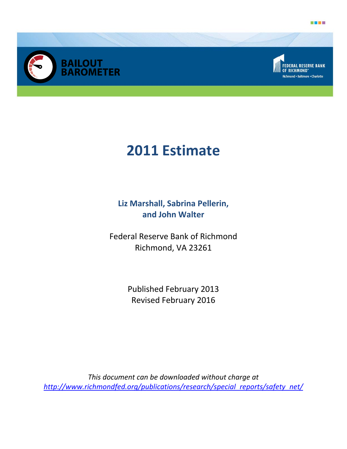





# **2011 Estimate**

**Liz Marshall, Sabrina Pellerin, and John Walter** 

Federal Reserve Bank of Richmond Richmond, VA 23261

> Published February 2013 Revised February 2016

*This document can be downloaded without charge at http://www.richmondfed.org/publications/research/special\_reports/safety\_net/*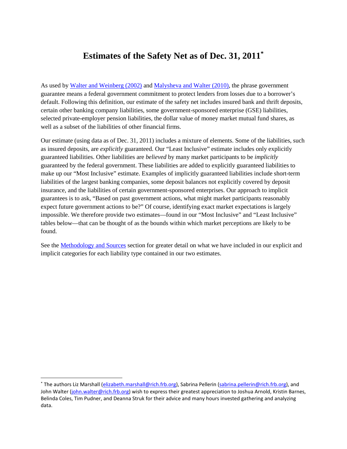# **Estimates of the Safety Net as of Dec. 31, 2011\***

As used b[y Walter and Weinberg \(2002\)](http://www.cato.org/sites/cato.org/files/serials/files/cato-journal/2002/1/cj21n3-2.pdf) and [Malysheva and Walter \(2010\),](http://www.richmondfed.org/publications/research/economic_quarterly/2010/q3/pdf/walter.pdf) the phrase government guarantee means a federal government commitment to protect lenders from losses due to a borrower's default. Following this definition, our estimate of the safety net includes insured bank and thrift deposits, certain other banking company liabilities, some government-sponsored enterprise (GSE) liabilities, selected private-employer pension liabilities, the dollar value of money market mutual fund shares, as well as a subset of the liabilities of other financial firms.

Our estimate (using data as of Dec. 31, 2011) includes a mixture of elements. Some of the liabilities, such as insured deposits, are *explicitly* guaranteed. Our "Least Inclusive" estimate includes only explicitly guaranteed liabilities. Other liabilities are *believed* by many market participants to be *implicitly* guaranteed by the federal government. These liabilities are added to explicitly guaranteed liabilities to make up our "Most Inclusive" estimate. Examples of implicitly guaranteed liabilities include short-term liabilities of the largest banking companies, some deposit balances not explicitly covered by deposit insurance, and the liabilities of certain government-sponsored enterprises. Our approach to implicit guarantees is to ask, "Based on past government actions, what might market participants reasonably expect future government actions to be?" Of course, identifying exact market expectations is largely impossible. We therefore provide two estimates—found in our "Most Inclusive" and "Least Inclusive" tables below—that can be thought of as the bounds within which market perceptions are likely to be found.

See the [Methodology and Sources](#page-4-0) section for greater detail on what we have included in our explicit and implicit categories for each liability type contained in our two estimates.

 <sup>\*</sup> The authors Liz Marshall [\(elizabeth.marshall@rich.frb.org\)](mailto:elizabeth.marshall@rich.frb.org), Sabrina Pellerin [\(sabrina.pellerin@rich.frb.org\)](mailto:sabrina.pellerin@rich.frb.org), and John Walter [\(john.walter@rich.frb.org\)](mailto:john.walter@rich.frb.org) wish to express their greatest appreciation to Joshua Arnold, Kristin Barnes, Belinda Coles, Tim Pudner, and Deanna Struk for their advice and many hours invested gathering and analyzing data.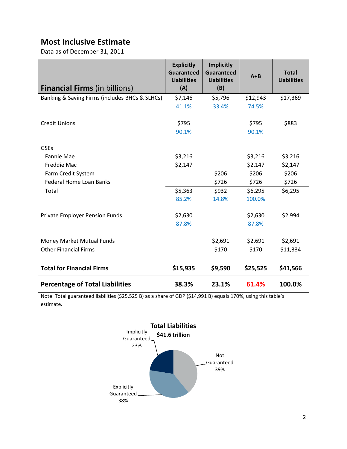## **Most Inclusive Estimate**

Data as of December 31, 2011

| <b>Financial Firms</b> (in billions)           | <b>Explicitly</b><br><b>Guaranteed</b><br><b>Liabilities</b><br>(A) | <b>Implicitly</b><br><b>Guaranteed</b><br><b>Liabilities</b><br>(B) | $A + B$          | <b>Total</b><br><b>Liabilities</b> |
|------------------------------------------------|---------------------------------------------------------------------|---------------------------------------------------------------------|------------------|------------------------------------|
| Banking & Saving Firms (includes BHCs & SLHCs) | \$7,146                                                             | \$5,796                                                             | \$12,943         | \$17,369                           |
|                                                | 41.1%                                                               | 33.4%                                                               | 74.5%            |                                    |
| <b>Credit Unions</b>                           | \$795<br>90.1%                                                      |                                                                     | \$795<br>90.1%   | \$883                              |
| <b>GSEs</b>                                    |                                                                     |                                                                     |                  |                                    |
| Fannie Mae                                     | \$3,216                                                             |                                                                     | \$3,216          | \$3,216                            |
| <b>Freddie Mac</b>                             | \$2,147                                                             |                                                                     | \$2,147          | \$2,147                            |
| Farm Credit System                             |                                                                     | \$206                                                               | \$206            | \$206                              |
| <b>Federal Home Loan Banks</b>                 |                                                                     | \$726                                                               | \$726            | \$726                              |
| Total                                          | \$5,363                                                             | \$932                                                               | \$6,295          | \$6,295                            |
|                                                | 85.2%                                                               | 14.8%                                                               | 100.0%           |                                    |
| Private Employer Pension Funds                 | \$2,630<br>87.8%                                                    |                                                                     | \$2,630<br>87.8% | \$2,994                            |
| Money Market Mutual Funds                      |                                                                     | \$2,691                                                             | \$2,691          | \$2,691                            |
| <b>Other Financial Firms</b>                   |                                                                     | \$170                                                               | \$170            | \$11,334                           |
| <b>Total for Financial Firms</b>               | \$15,935                                                            | \$9,590                                                             | \$25,525         | \$41,566                           |
| <b>Percentage of Total Liabilities</b>         | 38.3%                                                               | 23.1%                                                               | 61.4%            | 100.0%                             |

Note: Total guaranteed liabilities (\$25,525 B) as a share of GDP (\$14,991 B) equals 170%, using this table's estimate.

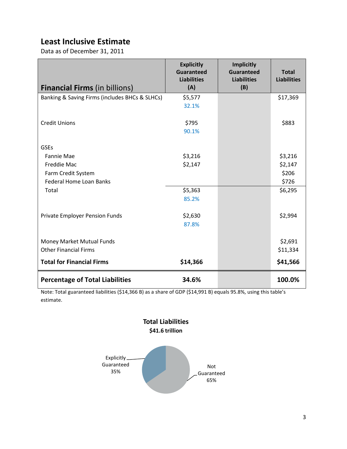## **Least Inclusive Estimate**

Data as of December 31, 2011

| <b>Financial Firms (in billions)</b>           | <b>Explicitly</b><br><b>Guaranteed</b><br><b>Liabilities</b><br>(A) | <b>Implicitly</b><br><b>Guaranteed</b><br><b>Liabilities</b><br>(B) | <b>Total</b><br><b>Liabilities</b> |
|------------------------------------------------|---------------------------------------------------------------------|---------------------------------------------------------------------|------------------------------------|
| Banking & Saving Firms (includes BHCs & SLHCs) | \$5,577                                                             |                                                                     | \$17,369                           |
|                                                | 32.1%                                                               |                                                                     |                                    |
| <b>Credit Unions</b>                           | \$795<br>90.1%                                                      |                                                                     | \$883                              |
| <b>GSEs</b>                                    |                                                                     |                                                                     |                                    |
| <b>Fannie Mae</b>                              | \$3,216                                                             |                                                                     | \$3,216                            |
| Freddie Mac                                    | \$2,147                                                             |                                                                     | \$2,147                            |
| Farm Credit System                             |                                                                     |                                                                     | \$206                              |
| <b>Federal Home Loan Banks</b>                 |                                                                     |                                                                     | \$726                              |
| Total                                          | \$5,363                                                             |                                                                     | \$6,295                            |
|                                                | 85.2%                                                               |                                                                     |                                    |
| Private Employer Pension Funds                 | \$2,630                                                             |                                                                     | \$2,994                            |
|                                                | 87.8%                                                               |                                                                     |                                    |
|                                                |                                                                     |                                                                     |                                    |
| Money Market Mutual Funds                      |                                                                     |                                                                     | \$2,691                            |
| <b>Other Financial Firms</b>                   |                                                                     |                                                                     | \$11,334                           |
| <b>Total for Financial Firms</b>               | \$14,366                                                            |                                                                     | \$41,566                           |
| <b>Percentage of Total Liabilities</b>         | 34.6%                                                               |                                                                     | 100.0%                             |

Note: Total guaranteed liabilities (\$14,366 B) as a share of GDP (\$14,991 B) equals 95.8%, using this table's estimate.

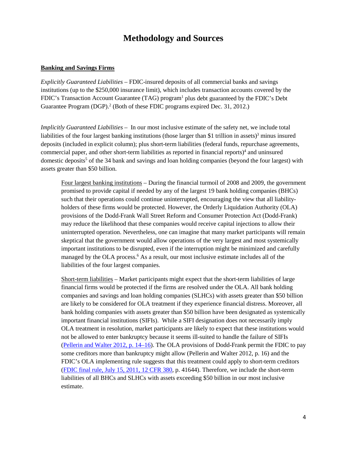## **Methodology and Sources**

#### <span id="page-4-0"></span>**Banking and Savings Firms**

*Explicitly Guaranteed Liabilities –* FDIC-insured deposits of all commercial banks and savings institutions (up to the \$250,000 insurance limit), which includes transaction accounts covered by the FDIC's Transaction Account Guarantee (TAG) program<sup>1</sup> plus debt guaranteed by the FDIC's Debt Guarantee Program (DGP). <sup>2</sup> (Both of these FDIC programs expired Dec. 31, 2012.)

*Implicitly Guaranteed Liabilities –* In our most inclusive estimate of the safety net, we include total liabilities of the four largest banking institutions (those larger than \$1 trillion in assets)<sup>3</sup> minus insured deposits (included in explicit column); plus short-term liabilities (federal funds, repurchase agreements, commercial paper, and other short-term liabilities as reported in financial reports) <sup>4</sup> and uninsured domestic deposits<sup>5</sup> of the 34 bank and savings and loan holding companies (beyond the four largest) with assets greater than \$50 billion.

Four largest banking institutions – During the financial turmoil of 2008 and 2009, the government promised to provide capital if needed by any of the largest 19 bank holding companies (BHCs) such that their operations could continue uninterrupted, encouraging the view that all liabilityholders of these firms would be protected. However, the Orderly Liquidation Authority (OLA) provisions of the Dodd-Frank Wall Street Reform and Consumer Protection Act (Dodd-Frank) may reduce the likelihood that these companies would receive capital injections to allow their uninterrupted operation. Nevertheless, one can imagine that many market participants will remain skeptical that the government would allow operations of the very largest and most systemically important institutions to be disrupted, even if the interruption might be minimized and carefully managed by the OLA process. <sup>6</sup> As a result, our most inclusive estimate includes all of the liabilities of the four largest companies.

Short-term liabilities – Market participants might expect that the short-term liabilities of large financial firms would be protected if the firms are resolved under the OLA. All bank holding companies and savings and loan holding companies (SLHCs) with assets greater than \$50 billion are likely to be considered for OLA treatment if they experience financial distress. Moreover, all bank holding companies with assets greater than \$50 billion have been designated as systemically important financial institutions (SIFIs). While a SIFI designation does not necessarily imply OLA treatment in resolution, market participants are likely to expect that these institutions would not be allowed to enter bankruptcy because it seems ill-suited to handle the failure of SIFIs [\(Pellerin and Walter 2012, p. 14–16\)](http://www.richmondfed.org/publications/research/economic_quarterly/2012/q1/pdf/walter.pdf). The OLA provisions of Dodd-Frank permit the FDIC to pay some creditors more than bankruptcy might allow (Pellerin and Walter 2012, p. 16) and the FDIC's OLA implementing rule suggests that this treatment could apply to short-term creditors [\(FDIC final rule, July 15, 2011, 12 CFR 380,](http://www.fdic.gov/regulations/laws/federal/2011/11finaljuly15.pdf) p. 41644). Therefore, we include the short-term liabilities of all BHCs and SLHCs with assets exceeding \$50 billion in our most inclusive estimate.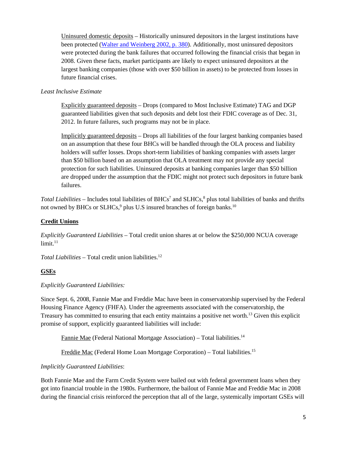Uninsured domestic deposits – Historically uninsured depositors in the largest institutions have been protected [\(Walter and Weinberg](http://www.cato.org/sites/cato.org/files/serials/files/cato-journal/2002/1/cj21n3-2.pdf#page=12) 2002, p. 380). Additionally, most uninsured depositors were protected during the bank failures that occurred following the financial crisis that began in 2008. Given these facts, market participants are likely to expect uninsured depositors at the largest banking companies (those with over \$50 billion in assets) to be protected from losses in future financial crises.

#### *Least Inclusive Estimate*

Explicitly guaranteed deposits – Drops (compared to Most Inclusive Estimate) TAG and DGP guaranteed liabilities given that such deposits and debt lost their FDIC coverage as of Dec. 31, 2012. In future failures, such programs may not be in place.

Implicitly guaranteed deposits – Drops all liabilities of the four largest banking companies based on an assumption that these four BHCs will be handled through the OLA process and liability holders will suffer losses. Drops short-term liabilities of banking companies with assets larger than \$50 billion based on an assumption that OLA treatment may not provide any special protection for such liabilities. Uninsured deposits at banking companies larger than \$50 billion are dropped under the assumption that the FDIC might not protect such depositors in future bank failures.

*Total Liabilities* – Includes total liabilities of BHCs<sup>7</sup> and SLHCs,<sup>8</sup> plus total liabilities of banks and thrifts not owned by BHCs or SLHCs,<sup>9</sup> plus U.S insured branches of foreign banks.<sup>10</sup>

#### **Credit Unions**

*Explicitly Guaranteed Liabilities* – Total credit union shares at or below the \$250,000 NCUA coverage  $limit.<sup>11</sup>$ 

*Total Liabilities –* Total credit union liabilities. 12

#### **GSEs**

#### *Explicitly Guaranteed Liabilities:*

Since Sept. 6, 2008, Fannie Mae and Freddie Mac have been in conservatorship supervised by the Federal Housing Finance Agency (FHFA). Under the agreements associated with the conservatorship, the Treasury has committed to ensuring that each entity maintains a positive net worth.13 Given this explicit promise of support, explicitly guaranteed liabilities will include:

Fannie Mae (Federal National Mortgage Association) – Total liabilities.<sup>14</sup>

Freddie Mac (Federal Home Loan Mortgage Corporation) - Total liabilities.<sup>15</sup>

*Implicitly Guaranteed Liabilities*:

Both Fannie Mae and the Farm Credit System were bailed out with federal government loans when they got into financial trouble in the 1980s. Furthermore, the bailout of Fannie Mae and Freddie Mac in 2008 during the financial crisis reinforced the perception that all of the large, systemically important GSEs will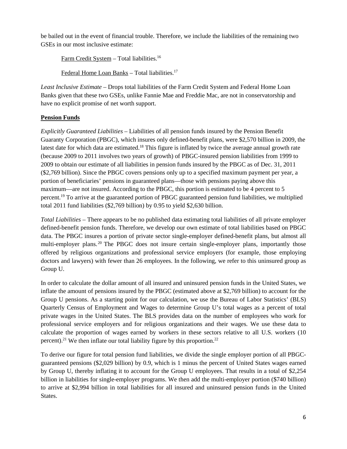be bailed out in the event of financial trouble. Therefore, we include the liabilities of the remaining two GSEs in our most inclusive estimate:

Farm Credit System – Total liabilities. 16

Federal Home Loan Banks – Total liabilities.<sup>17</sup>

*Least Inclusive Estimate* – Drops total liabilities of the Farm Credit System and Federal Home Loan Banks given that these two GSEs, unlike Fannie Mae and Freddie Mac, are not in conservatorship and have no explicit promise of net worth support.

## **Pension Funds**

*Explicitly Guaranteed Liabilities* – Liabilities of all pension funds insured by the Pension Benefit Guaranty Corporation (PBGC), which insures only defined-benefit plans, were \$2,570 billion in 2009, the latest date for which data are estimated.<sup>18</sup> This figure is inflated by twice the average annual growth rate (because 2009 to 2011 involves two years of growth) of PBGC-insured pension liabilities from 1999 to 2009 to obtain our estimate of all liabilities in pension funds insured by the PBGC as of Dec. 31, 2011 (\$2,769 billion). Since the PBGC covers pensions only up to a specified maximum payment per year, a portion of beneficiaries' pensions in guaranteed plans—those with pensions paying above this maximum—are not insured. According to the PBGC, this portion is estimated to be 4 percent to 5 percent.<sup>19</sup> To arrive at the guaranteed portion of PBGC guaranteed pension fund liabilities, we multiplied total 2011 fund liabilities (\$2,769 billion) by 0.95 to yield \$2,630 billion.

*Total Liabilities –* There appears to be no published data estimating total liabilities of all private employer defined-benefit pension funds. Therefore, we develop our own estimate of total liabilities based on PBGC data. The PBGC insures a portion of private sector single-employer defined-benefit plans, but almost all multi-employer plans.<sup>20</sup> The PBGC does not insure certain single-employer plans, importantly those offered by religious organizations and professional service employers (for example, those employing doctors and lawyers) with fewer than 26 employees. In the following, we refer to this uninsured group as Group U.

In order to calculate the dollar amount of all insured and uninsured pension funds in the United States, we inflate the amount of pensions insured by the PBGC (estimated above at \$2,769 billion) to account for the Group U pensions. As a starting point for our calculation, we use the Bureau of Labor Statistics' (BLS) Quarterly Census of Employment and Wages to determine Group U's total wages as a percent of total private wages in the United States. The BLS provides data on the number of employees who work for professional service employers and for religious organizations and their wages. We use these data to calculate the proportion of wages earned by workers in these sectors relative to all U.S. workers (10 percent).<sup>21</sup> We then inflate our total liability figure by this proportion.<sup>22</sup>

To derive our figure for total pension fund liabilities, we divide the single employer portion of all PBGCguaranteed pensions (\$2,029 billion) by 0.9, which is 1 minus the percent of United States wages earned by Group U, thereby inflating it to account for the Group U employees. That results in a total of \$2,254 billion in liabilities for single-employer programs. We then add the multi-employer portion (\$740 billion) to arrive at \$2,994 billion in total liabilities for all insured and uninsured pension funds in the United States.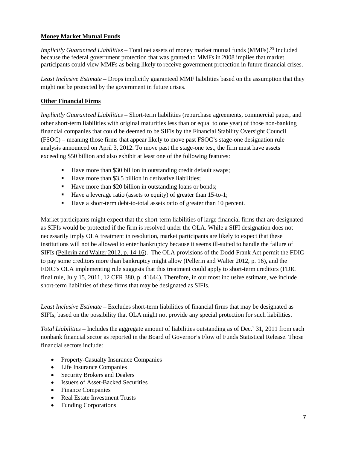### **Money Market Mutual Funds**

*Implicitly Guaranteed Liabilities* – Total net assets of money market mutual funds (MMFs). <sup>23</sup> Included because the federal government protection that was granted to MMFs in 2008 implies that market participants could view MMFs as being likely to receive government protection in future financial crises.

*Least Inclusive Estimate* – Drops implicitly guaranteed MMF liabilities based on the assumption that they might not be protected by the government in future crises.

### **Other Financial Firms**

*Implicitly Guaranteed Liabilities* – Short-term liabilities (repurchase agreements, commercial paper, and other short-term liabilities with original maturities less than or equal to one year) of those non-banking financial companies that could be deemed to be SIFIs by the Financial Stability Oversight Council (FSOC) – meaning those firms that appear likely to move past FSOC's stage-one designation rule analysis announced on April 3, 2012. To move past the stage-one test, the firm must have assets exceeding \$50 billion and also exhibit at least one of the following features:

- Have more than \$30 billion in outstanding credit default swaps;
- Have more than \$3.5 billion in derivative liabilities:
- Have more than \$20 billion in outstanding loans or bonds;
- Have a leverage ratio (assets to equity) of greater than 15-to-1;
- Have a short-term debt-to-total assets ratio of greater than 10 percent.

Market participants might expect that the short-term liabilities of large financial firms that are designated as SIFIs would be protected if the firm is resolved under the OLA. While a SIFI designation does not necessarily imply OLA treatment in resolution, market participants are likely to expect that these institutions will not be allowed to enter bankruptcy because it seems ill-suited to handle the failure of SIFIs [\(Pellerin and Walter 2012, p. 14-16\)](http://www.richmondfed.org/publications/research/economic_quarterly/2012/q1/pdf/walter.pdf). The OLA provisions of the Dodd-Frank Act permit the FDIC to pay some creditors more than bankruptcy might allow (Pellerin and Walter 2012, p. 16), and the FDIC's OLA implementing rule suggests that this treatment could apply to short-term creditors (FDIC final rule, July 15, 2011, 12 CFR 380, p. 41644). Therefore, in our most inclusive estimate, we include short-term liabilities of these firms that may be designated as SIFIs.

*Least Inclusive Estimate –* Excludes short-term liabilities of financial firms that may be designated as SIFIs, based on the possibility that OLA might not provide any special protection for such liabilities.

*Total Liabilities* – Includes the aggregate amount of liabilities outstanding as of Dec.` 31, 2011 from each nonbank financial sector as reported in the Board of Governor's Flow of Funds Statistical Release. Those financial sectors include:

- Property-Casualty Insurance Companies
- Life Insurance Companies
- Security Brokers and Dealers
- Issuers of Asset-Backed Securities
- Finance Companies
- Real Estate Investment Trusts
- Funding Corporations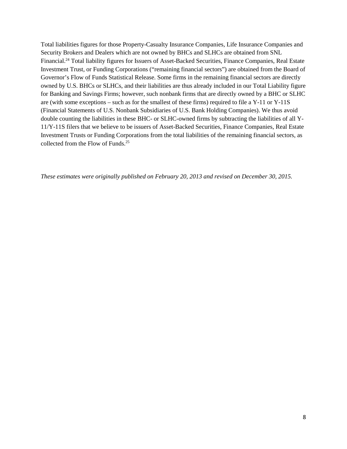Total liabilities figures for those Property-Casualty Insurance Companies, Life Insurance Companies and Security Brokers and Dealers which are not owned by BHCs and SLHCs are obtained from SNL Financial.24 Total liability figures for Issuers of Asset-Backed Securities, Finance Companies, Real Estate Investment Trust, or Funding Corporations ("remaining financial sectors") are obtained from the Board of Governor's Flow of Funds Statistical Release. Some firms in the remaining financial sectors are directly owned by U.S. BHCs or SLHCs, and their liabilities are thus already included in our Total Liability figure for Banking and Savings Firms; however, such nonbank firms that are directly owned by a BHC or SLHC are (with some exceptions – such as for the smallest of these firms) required to file a Y-11 or Y-11S (Financial Statements of U.S. Nonbank Subsidiaries of U.S. Bank Holding Companies). We thus avoid double counting the liabilities in these BHC- or SLHC-owned firms by subtracting the liabilities of all Y-11/Y-11S filers that we believe to be issuers of Asset-Backed Securities, Finance Companies, Real Estate Investment Trusts or Funding Corporations from the total liabilities of the remaining financial sectors, as collected from the Flow of Funds.<sup>25</sup>

*These estimates were originally published on February 20, 2013 and revised on December 30, 2015.*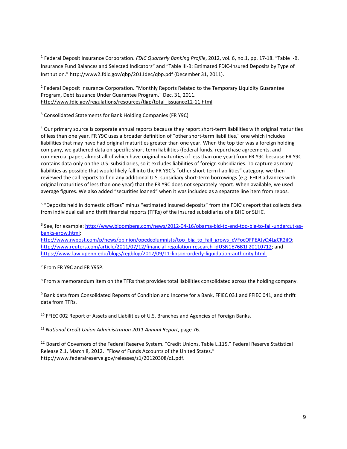1 Federal Deposit Insurance Corporation. *FDIC Quarterly Banking Profile*, 2012, vol. 6, no.1, pp. 17-18. "Table I-B. Insurance Fund Balances and Selected Indicators" and "Table III-B: Estimated FDIC-Insured Deposits by Type of Institution."<http://www2.fdic.gov/qbp/2011dec/qbp.pdf> (December 31, 2011).

<sup>2</sup> Federal Deposit Insurance Corporation. "Monthly Reports Related to the Temporary Liquidity Guarantee Program, Debt Issuance Under Guarantee Program." Dec. 31, 2011. [http://www.fdic.gov/regulations/resources/tlgp/total\\_issuance12-11.html](http://www.fdic.gov/regulations/resources/tlgp/total_issuance12-11.html)

<sup>3</sup> Consolidated Statements for Bank Holding Companies (FR Y9C)

<sup>4</sup> Our primary source is corporate annual reports because they report short-term liabilities with original maturities of less than one year. FR Y9C uses a broader definition of "other short-term liabilities," one which includes liabilities that may have had original maturities greater than one year. When the top tier was a foreign holding company, we gathered data on specific short-term liabilities (federal funds, repurchase agreements, and commercial paper, almost all of which have original maturities of less than one year) from FR Y9C because FR Y9C contains data only on the U.S. subsidiaries, so it excludes liabilities of foreign subsidiaries. To capture as many liabilities as possible that would likely fall into the FR Y9C's "other short-term liabilities" category, we then reviewed the call reports to find any additional U.S. subsidiary short-term borrowings (e.g. FHLB advances with original maturities of less than one year) that the FR Y9C does not separately report. When available, we used average figures. We also added "securities loaned" when it was included as a separate line item from repos.

<sup>5</sup> "Deposits held in domestic offices" minus "estimated insured deposits" from the FDIC's report that collects data from individual call and thrift financial reports (TFRs) of the insured subsidiaries of a BHC or SLHC.

<sup>6</sup> See, for example[: http://www.bloomberg.com/news/2012-04-16/obama-bid-to-end-too-big-to-fail-undercut-as](http://www.bloomberg.com/news/2012-04-16/obama-bid-to-end-too-big-to-fail-undercut-as-banks-grow.html)[banks-grow.html;](http://www.bloomberg.com/news/2012-04-16/obama-bid-to-end-too-big-to-fail-undercut-as-banks-grow.html)

[http://www.nypost.com/p/news/opinion/opedcolumnists/too\\_big\\_to\\_fail\\_grows\\_cVFocOFPEAJyQ4LgCR2ilO;](http://www.nypost.com/p/news/opinion/opedcolumnists/too_big_to_fail_grows_cVFocOFPEAJyQ4LgCR2ilO) [http://www.reuters.com/article/2011/07/12/financial-regulation-research-idUSN1E76B1II20110712;](http://www.reuters.com/article/2011/07/12/financial-regulation-research-idUSN1E76B1II20110712) and [https://www.law.upenn.edu/blogs/regblog/2012/09/11-lipson-orderly-liquidation-authority.html.](https://www.law.upenn.edu/blogs/regblog/2012/09/11-lipson-orderly-liquidation-authority.html)

<sup>7</sup> From FR Y9C and FR Y9SP.

<sup>8</sup> From a memorandum item on the TFRs that provides total liabilities consolidated across the holding company.

<sup>9</sup> Bank data from Consolidated Reports of Condition and Income for a Bank, FFIEC 031 and FFIEC 041, and thrift data from TFRs.

 $10$  FFIEC 002 Report of Assets and Liabilities of U.S. Branches and Agencies of Foreign Banks.

<sup>11</sup> *National Credit Union Administration 2011 Annual Report*, page 76.

<sup>12</sup> Board of Governors of the Federal Reserve System. "Credit Unions, Table L.115." Federal Reserve Statistical Release Z.1, March 8, 2012. "Flow of Funds Accounts of the United States." [http://www.federalreserve.gov/releases/z1/20120308/z1.pdf.](http://www.federalreserve.gov/releases/z1/20120308/z1.pdf)